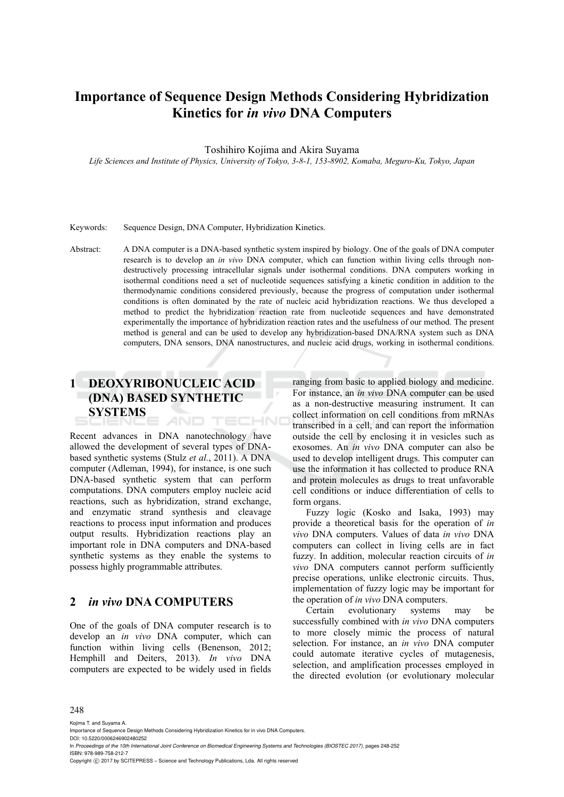# **Importance of Sequence Design Methods Considering Hybridization Kinetics for** *in vivo* **DNA Computers**

Toshihiro Kojima and Akira Suyama

*Life Sciences and Institute of Physics, University of Tokyo, 3-8-1, 153-8902, Komaba, Meguro-Ku, Tokyo, Japan* 

#### Keywords: Sequence Design, DNA Computer, Hybridization Kinetics.

Abstract: A DNA computer is a DNA-based synthetic system inspired by biology. One of the goals of DNA computer research is to develop an *in vivo* DNA computer, which can function within living cells through nondestructively processing intracellular signals under isothermal conditions. DNA computers working in isothermal conditions need a set of nucleotide sequences satisfying a kinetic condition in addition to the thermodynamic conditions considered previously, because the progress of computation under isothermal conditions is often dominated by the rate of nucleic acid hybridization reactions. We thus developed a method to predict the hybridization reaction rate from nucleotide sequences and have demonstrated experimentally the importance of hybridization reaction rates and the usefulness of our method. The present method is general and can be used to develop any hybridization-based DNA/RNA system such as DNA computers, DNA sensors, DNA nanostructures, and nucleic acid drugs, working in isothermal conditions.

## **1 DEOXYRIBONUCLEIC ACID (DNA) BASED SYNTHETIC SYSTEMS**  AND TECHNO

Recent advances in DNA nanotechnology have allowed the development of several types of DNAbased synthetic systems (Stulz *et al.*, 2011). A DNA computer (Adleman, 1994), for instance, is one such DNA-based synthetic system that can perform computations. DNA computers employ nucleic acid reactions, such as hybridization, strand exchange, and enzymatic strand synthesis and cleavage reactions to process input information and produces output results. Hybridization reactions play an important role in DNA computers and DNA-based synthetic systems as they enable the systems to possess highly programmable attributes.

### **2** *in vivo* **DNA COMPUTERS**

One of the goals of DNA computer research is to develop an *in vivo* DNA computer, which can function within living cells (Benenson, 2012; Hemphill and Deiters, 2013). *In vivo* DNA computers are expected to be widely used in fields ranging from basic to applied biology and medicine. For instance, an *in vivo* DNA computer can be used as a non-destructive measuring instrument. It can collect information on cell conditions from mRNAs transcribed in a cell, and can report the information outside the cell by enclosing it in vesicles such as exosomes. An *in vivo* DNA computer can also be used to develop intelligent drugs. This computer can use the information it has collected to produce RNA and protein molecules as drugs to treat unfavorable cell conditions or induce differentiation of cells to form organs.

Fuzzy logic (Kosko and Isaka, 1993) may provide a theoretical basis for the operation of *in vivo* DNA computers. Values of data *in vivo* DNA computers can collect in living cells are in fact fuzzy. In addition, molecular reaction circuits of *in vivo* DNA computers cannot perform sufficiently precise operations, unlike electronic circuits. Thus, implementation of fuzzy logic may be important for the operation of *in vivo* DNA computers.

Certain evolutionary systems may be successfully combined with *in vivo* DNA computers to more closely mimic the process of natural selection. For instance, an *in vivo* DNA computer could automate iterative cycles of mutagenesis, selection, and amplification processes employed in the directed evolution (or evolutionary molecular

#### 248

Kojima T. and Suyama A.

- DOI: 10.5220/0006246902480252
- In *Proceedings of the 10th International Joint Conference on Biomedical Engineering Systems and Technologies (BIOSTEC 2017)*, pages 248-252 ISBN: 978-989-758-212-7

Copyright (C) 2017 by SCITEPRESS - Science and Technology Publications, Lda. All rights reserved

Importance of Sequence Design Methods Considering Hybridization Kinetics for in vivo DNA Computers.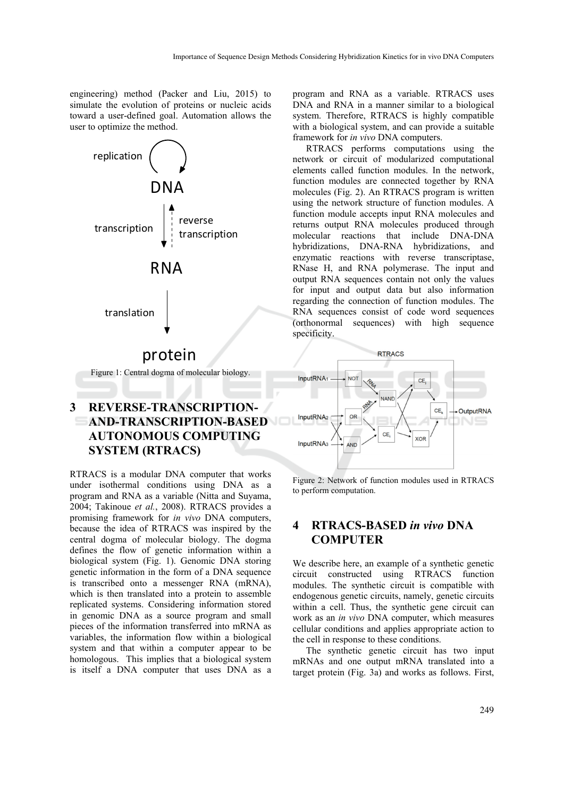engineering) method (Packer and Liu, 2015) to simulate the evolution of proteins or nucleic acids toward a user-defined goal. Automation allows the user to optimize the method.



# protein

Figure 1: Central dogma of molecular biology.

# **3 REVERSE-TRANSCRIPTION-AND-TRANSCRIPTION-BASED AUTONOMOUS COMPUTING SYSTEM (RTRACS)**

RTRACS is a modular DNA computer that works under isothermal conditions using DNA as a program and RNA as a variable (Nitta and Suyama, 2004; Takinoue *et al.*, 2008). RTRACS provides a promising framework for *in vivo* DNA computers, because the idea of RTRACS was inspired by the central dogma of molecular biology. The dogma defines the flow of genetic information within a biological system (Fig. 1). Genomic DNA storing genetic information in the form of a DNA sequence is transcribed onto a messenger RNA (mRNA), which is then translated into a protein to assemble replicated systems. Considering information stored in genomic DNA as a source program and small pieces of the information transferred into mRNA as variables, the information flow within a biological system and that within a computer appear to be homologous. This implies that a biological system is itself a DNA computer that uses DNA as a program and RNA as a variable. RTRACS uses DNA and RNA in a manner similar to a biological system. Therefore, RTRACS is highly compatible with a biological system, and can provide a suitable framework for *in vivo* DNA computers.

RTRACS performs computations using the network or circuit of modularized computational elements called function modules. In the network, function modules are connected together by RNA molecules (Fig. 2). An RTRACS program is written using the network structure of function modules. A function module accepts input RNA molecules and returns output RNA molecules produced through molecular reactions that include DNA-DNA hybridizations, DNA-RNA hybridizations, and enzymatic reactions with reverse transcriptase, RNase H, and RNA polymerase. The input and output RNA sequences contain not only the values for input and output data but also information regarding the connection of function modules. The RNA sequences consist of code word sequences (orthonormal sequences) with high sequence specificity.



Figure 2: Network of function modules used in RTRACS to perform computation.

## **4 RTRACS-BASED** *in vivo* **DNA COMPUTER**

We describe here, an example of a synthetic genetic circuit constructed using RTRACS function modules. The synthetic circuit is compatible with endogenous genetic circuits, namely, genetic circuits within a cell. Thus, the synthetic gene circuit can work as an *in vivo* DNA computer, which measures cellular conditions and applies appropriate action to the cell in response to these conditions.

The synthetic genetic circuit has two input mRNAs and one output mRNA translated into a target protein (Fig. 3a) and works as follows. First,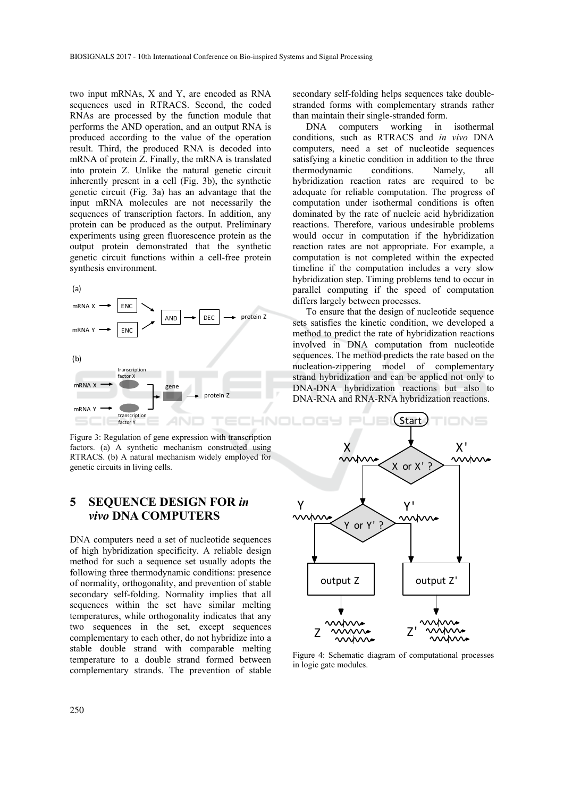two input mRNAs, X and Y, are encoded as RNA sequences used in RTRACS. Second, the coded RNAs are processed by the function module that performs the AND operation, and an output RNA is produced according to the value of the operation result. Third, the produced RNA is decoded into mRNA of protein Z. Finally, the mRNA is translated into protein Z. Unlike the natural genetic circuit inherently present in a cell (Fig. 3b), the synthetic genetic circuit (Fig. 3a) has an advantage that the input mRNA molecules are not necessarily the sequences of transcription factors. In addition, any protein can be produced as the output. Preliminary experiments using green fluorescence protein as the output protein demonstrated that the synthetic genetic circuit functions within a cell-free protein synthesis environment.



Figure 3: Regulation of gene expression with transcription factors. (a) A synthetic mechanism constructed using RTRACS. (b) A natural mechanism widely employed for genetic circuits in living cells.

## **5 SEQUENCE DESIGN FOR** *in vivo* **DNA COMPUTERS**

DNA computers need a set of nucleotide sequences of high hybridization specificity. A reliable design method for such a sequence set usually adopts the following three thermodynamic conditions: presence of normality, orthogonality, and prevention of stable secondary self-folding. Normality implies that all sequences within the set have similar melting temperatures, while orthogonality indicates that any two sequences in the set, except sequences complementary to each other, do not hybridize into a stable double strand with comparable melting temperature to a double strand formed between complementary strands. The prevention of stable

secondary self-folding helps sequences take doublestranded forms with complementary strands rather than maintain their single-stranded form.

DNA computers working in isothermal conditions, such as RTRACS and *in vivo* DNA computers, need a set of nucleotide sequences satisfying a kinetic condition in addition to the three thermodynamic conditions. Namely, all hybridization reaction rates are required to be adequate for reliable computation. The progress of computation under isothermal conditions is often dominated by the rate of nucleic acid hybridization reactions. Therefore, various undesirable problems would occur in computation if the hybridization reaction rates are not appropriate. For example, a computation is not completed within the expected timeline if the computation includes a very slow hybridization step. Timing problems tend to occur in parallel computing if the speed of computation differs largely between processes.

To ensure that the design of nucleotide sequence sets satisfies the kinetic condition, we developed a method to predict the rate of hybridization reactions involved in DNA computation from nucleotide sequences. The method predicts the rate based on the nucleation-zippering model of complementary strand hybridization and can be applied not only to DNA-DNA hybridization reactions but also to DNA-RNA and RNA-RNA hybridization reactions.



Figure 4: Schematic diagram of computational processes in logic gate modules.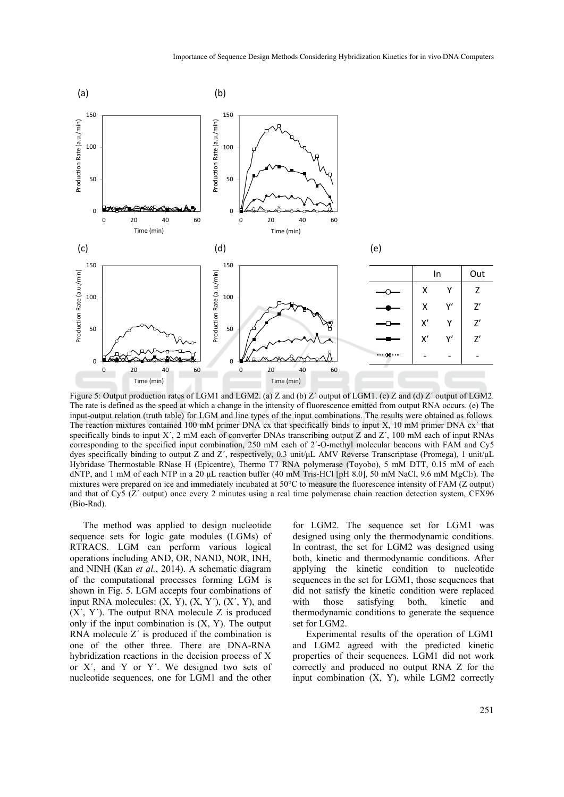

Figure 5: Output production rates of LGM1 and LGM2. (a) Z and (b) Z' output of LGM1. (c) Z and (d) Z' output of LGM2. The rate is defined as the speed at which a change in the intensity of fluorescence emitted from output RNA occurs. (e) The input-output relation (truth table) for LGM and line types of the input combinations. The results were obtained as follows. The reaction mixtures contained 100 mM primer DNA cx that specifically binds to input X, 10 mM primer DNA cx´ that specifically binds to input X', 2 mM each of converter DNAs transcribing output Z and Z', 100 mM each of input RNAs corresponding to the specified input combination, 250 mM each of 2´-O-methyl molecular beacons with FAM and Cy5 dyes specifically binding to output Z and Z´, respectively, 0.3 unit/μL AMV Reverse Transcriptase (Promega), 1 unit/μL Hybridase Thermostable RNase H (Epicentre), Thermo T7 RNA polymerase (Toyobo), 5 mM DTT, 0.15 mM of each dNTP, and 1 mM of each NTP in a 20 μL reaction buffer (40 mM Tris-HCl [pH 8.0], 50 mM NaCl, 9.6 mM MgCl2). The mixtures were prepared on ice and immediately incubated at 50°C to measure the fluorescence intensity of FAM (Z output) and that of Cy5 (Z´ output) once every 2 minutes using a real time polymerase chain reaction detection system, CFX96 (Bio-Rad).

The method was applied to design nucleotide sequence sets for logic gate modules (LGMs) of RTRACS. LGM can perform various logical operations including AND, OR, NAND, NOR, INH, and NINH (Kan *et al.*, 2014). A schematic diagram of the computational processes forming LGM is shown in Fig. 5. LGM accepts four combinations of input RNA molecules:  $(X, Y)$ ,  $(X, Y')$ ,  $(X', Y)$ , and  $(X', Y')$ . The output RNA molecule Z is produced only if the input combination is  $(X, Y)$ . The output RNA molecule Z´ is produced if the combination is one of the other three. There are DNA-RNA hybridization reactions in the decision process of X or X´, and Y or Y´. We designed two sets of nucleotide sequences, one for LGM1 and the other

for LGM2. The sequence set for LGM1 was designed using only the thermodynamic conditions. In contrast, the set for LGM2 was designed using both, kinetic and thermodynamic conditions. After applying the kinetic condition to nucleotide sequences in the set for LGM1, those sequences that did not satisfy the kinetic condition were replaced with those satisfying both, kinetic and thermodynamic conditions to generate the sequence set for LGM2.

Experimental results of the operation of LGM1 and LGM2 agreed with the predicted kinetic properties of their sequences. LGM1 did not work correctly and produced no output RNA Z for the input combination (X, Y), while LGM2 correctly